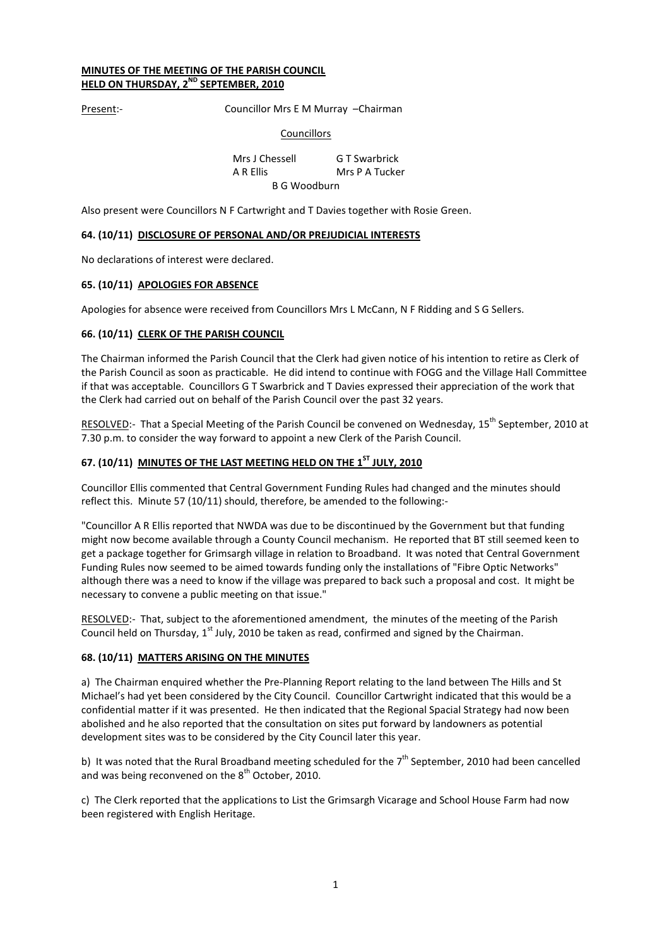# MINUTES OF THE MEETING OF THE PARISH COUNCIL HELD ON THURSDAY, 2<sup>ND</sup> SEPTEMBER, 2010

Present:- Councillor Mrs E M Murray -Chairman

### Councillors

 Mrs J Chessell G T Swarbrick A R Ellis Mrs P A Tucker B G Woodburn

Also present were Councillors N F Cartwright and T Davies together with Rosie Green.

### 64. (10/11) DISCLOSURE OF PERSONAL AND/OR PREJUDICIAL INTERESTS

No declarations of interest were declared.

### 65. (10/11) APOLOGIES FOR ABSENCE

Apologies for absence were received from Councillors Mrs L McCann, N F Ridding and S G Sellers.

### 66. (10/11) CLERK OF THE PARISH COUNCIL

The Chairman informed the Parish Council that the Clerk had given notice of his intention to retire as Clerk of the Parish Council as soon as practicable. He did intend to continue with FOGG and the Village Hall Committee if that was acceptable. Councillors G T Swarbrick and T Davies expressed their appreciation of the work that the Clerk had carried out on behalf of the Parish Council over the past 32 years.

RESOLVED:- That a Special Meeting of the Parish Council be convened on Wednesday, 15<sup>th</sup> September, 2010 at 7.30 p.m. to consider the way forward to appoint a new Clerk of the Parish Council.

# 67. (10/11) MINUTES OF THE LAST MEETING HELD ON THE 1<sup>ST</sup> JULY. 2010

Councillor Ellis commented that Central Government Funding Rules had changed and the minutes should reflect this. Minute 57 (10/11) should, therefore, be amended to the following:-

"Councillor A R Ellis reported that NWDA was due to be discontinued by the Government but that funding might now become available through a County Council mechanism. He reported that BT still seemed keen to get a package together for Grimsargh village in relation to Broadband. It was noted that Central Government Funding Rules now seemed to be aimed towards funding only the installations of "Fibre Optic Networks" although there was a need to know if the village was prepared to back such a proposal and cost. It might be necessary to convene a public meeting on that issue."

RESOLVED:- That, subject to the aforementioned amendment, the minutes of the meeting of the Parish Council held on Thursday,  $1^{st}$  July, 2010 be taken as read, confirmed and signed by the Chairman.

# 68. (10/11) MATTERS ARISING ON THE MINUTES

a) The Chairman enquired whether the Pre-Planning Report relating to the land between The Hills and St Michael's had yet been considered by the City Council. Councillor Cartwright indicated that this would be a confidential matter if it was presented. He then indicated that the Regional Spacial Strategy had now been abolished and he also reported that the consultation on sites put forward by landowners as potential development sites was to be considered by the City Council later this year.

b) It was noted that the Rural Broadband meeting scheduled for the  $7<sup>th</sup>$  September, 2010 had been cancelled and was being reconvened on the 8<sup>th</sup> October, 2010.

c) The Clerk reported that the applications to List the Grimsargh Vicarage and School House Farm had now been registered with English Heritage.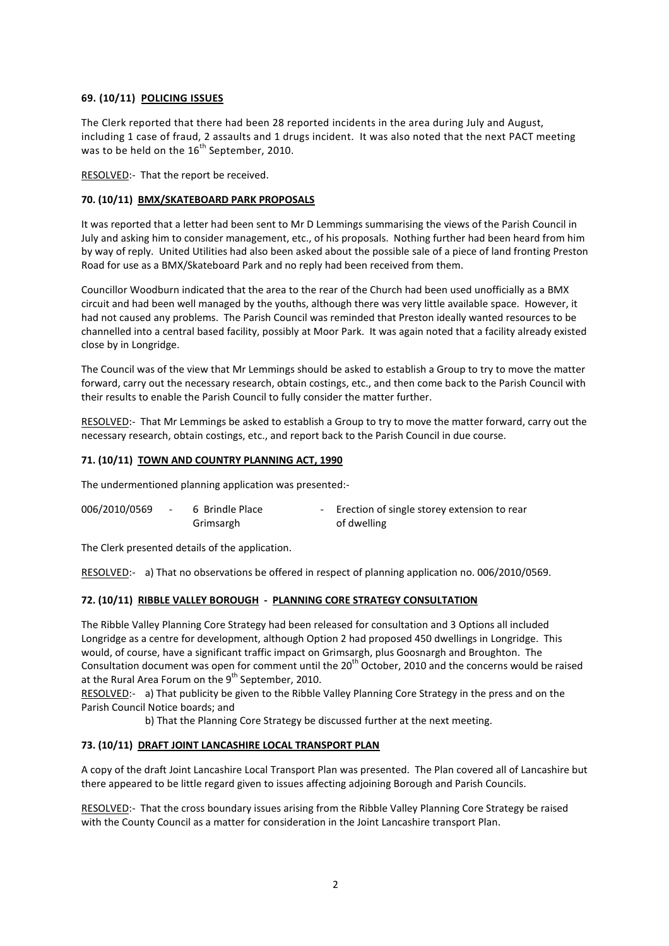# 69. (10/11) POLICING ISSUES

The Clerk reported that there had been 28 reported incidents in the area during July and August, including 1 case of fraud, 2 assaults and 1 drugs incident. It was also noted that the next PACT meeting was to be held on the  $16^{th}$  September, 2010.

RESOLVED:- That the report be received.

# 70. (10/11) BMX/SKATEBOARD PARK PROPOSALS

It was reported that a letter had been sent to Mr D Lemmings summarising the views of the Parish Council in July and asking him to consider management, etc., of his proposals. Nothing further had been heard from him by way of reply. United Utilities had also been asked about the possible sale of a piece of land fronting Preston Road for use as a BMX/Skateboard Park and no reply had been received from them.

Councillor Woodburn indicated that the area to the rear of the Church had been used unofficially as a BMX circuit and had been well managed by the youths, although there was very little available space. However, it had not caused any problems. The Parish Council was reminded that Preston ideally wanted resources to be channelled into a central based facility, possibly at Moor Park. It was again noted that a facility already existed close by in Longridge.

The Council was of the view that Mr Lemmings should be asked to establish a Group to try to move the matter forward, carry out the necessary research, obtain costings, etc., and then come back to the Parish Council with their results to enable the Parish Council to fully consider the matter further.

RESOLVED:- That Mr Lemmings be asked to establish a Group to try to move the matter forward, carry out the necessary research, obtain costings, etc., and report back to the Parish Council in due course.

# 71. (10/11) TOWN AND COUNTRY PLANNING ACT, 1990

The undermentioned planning application was presented:-

| 006/2010/0569 | 6 Brindle Place | - Erection of single storey extension to rear |
|---------------|-----------------|-----------------------------------------------|
|               | Grimsargh       | of dwelling                                   |

The Clerk presented details of the application.

RESOLVED:- a) That no observations be offered in respect of planning application no. 006/2010/0569.

# 72. (10/11) RIBBLE VALLEY BOROUGH - PLANNING CORE STRATEGY CONSULTATION

The Ribble Valley Planning Core Strategy had been released for consultation and 3 Options all included Longridge as a centre for development, although Option 2 had proposed 450 dwellings in Longridge. This would, of course, have a significant traffic impact on Grimsargh, plus Goosnargh and Broughton. The Consultation document was open for comment until the 20<sup>th</sup> October, 2010 and the concerns would be raised at the Rural Area Forum on the  $9<sup>th</sup>$  September, 2010.

RESOLVED:- a) That publicity be given to the Ribble Valley Planning Core Strategy in the press and on the Parish Council Notice boards; and

b) That the Planning Core Strategy be discussed further at the next meeting.

# 73. (10/11) DRAFT JOINT LANCASHIRE LOCAL TRANSPORT PLAN

A copy of the draft Joint Lancashire Local Transport Plan was presented. The Plan covered all of Lancashire but there appeared to be little regard given to issues affecting adjoining Borough and Parish Councils.

RESOLVED:- That the cross boundary issues arising from the Ribble Valley Planning Core Strategy be raised with the County Council as a matter for consideration in the Joint Lancashire transport Plan.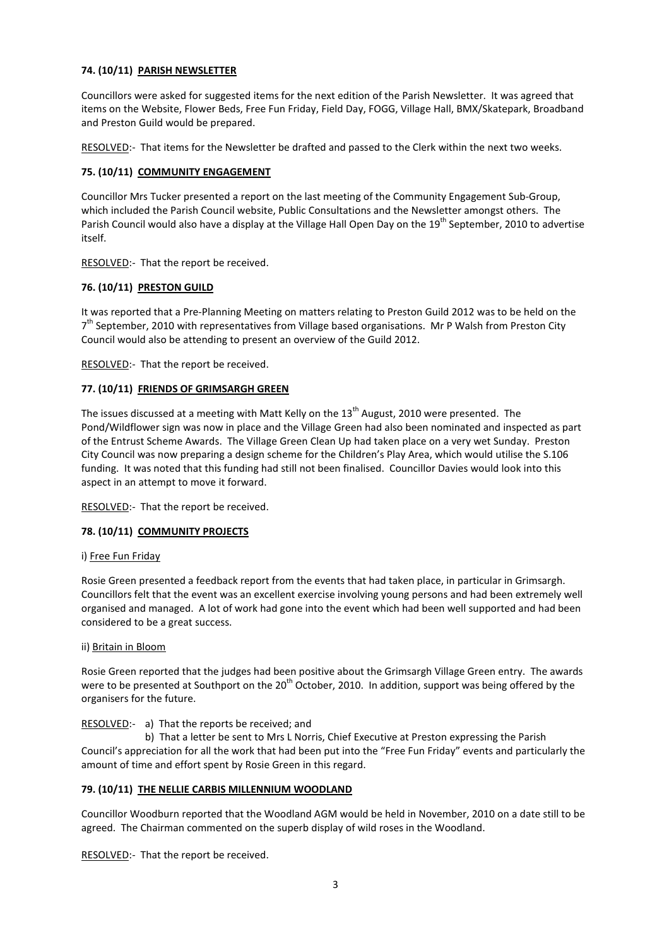# 74. (10/11) PARISH NEWSLETTER

Councillors were asked for suggested items for the next edition of the Parish Newsletter. It was agreed that items on the Website, Flower Beds, Free Fun Friday, Field Day, FOGG, Village Hall, BMX/Skatepark, Broadband and Preston Guild would be prepared.

RESOLVED:- That items for the Newsletter be drafted and passed to the Clerk within the next two weeks.

# 75. (10/11) COMMUNITY ENGAGEMENT

Councillor Mrs Tucker presented a report on the last meeting of the Community Engagement Sub-Group, which included the Parish Council website, Public Consultations and the Newsletter amongst others. The Parish Council would also have a display at the Village Hall Open Day on the 19<sup>th</sup> September, 2010 to advertise itself.

RESOLVED:- That the report be received.

# 76. (10/11) PRESTON GUILD

It was reported that a Pre-Planning Meeting on matters relating to Preston Guild 2012 was to be held on the 7<sup>th</sup> September, 2010 with representatives from Village based organisations. Mr P Walsh from Preston City Council would also be attending to present an overview of the Guild 2012.

RESOLVED:- That the report be received.

# 77. (10/11) FRIENDS OF GRIMSARGH GREEN

The issues discussed at a meeting with Matt Kelly on the  $13<sup>th</sup>$  August, 2010 were presented. The Pond/Wildflower sign was now in place and the Village Green had also been nominated and inspected as part of the Entrust Scheme Awards. The Village Green Clean Up had taken place on a very wet Sunday. Preston City Council was now preparing a design scheme for the Children's Play Area, which would utilise the S.106 funding. It was noted that this funding had still not been finalised. Councillor Davies would look into this aspect in an attempt to move it forward.

RESOLVED:- That the report be received.

#### 78. (10/11) COMMUNITY PROJECTS

#### i) Free Fun Friday

Rosie Green presented a feedback report from the events that had taken place, in particular in Grimsargh. Councillors felt that the event was an excellent exercise involving young persons and had been extremely well organised and managed. A lot of work had gone into the event which had been well supported and had been considered to be a great success.

#### ii) Britain in Bloom

Rosie Green reported that the judges had been positive about the Grimsargh Village Green entry. The awards were to be presented at Southport on the  $20^{th}$  October, 2010. In addition, support was being offered by the organisers for the future.

# RESOLVED:- a) That the reports be received; and

 b) That a letter be sent to Mrs L Norris, Chief Executive at Preston expressing the Parish Council's appreciation for all the work that had been put into the "Free Fun Friday" events and particularly the amount of time and effort spent by Rosie Green in this regard.

# 79. (10/11) THE NELLIE CARBIS MILLENNIUM WOODLAND

Councillor Woodburn reported that the Woodland AGM would be held in November, 2010 on a date still to be agreed. The Chairman commented on the superb display of wild roses in the Woodland.

RESOLVED:- That the report be received.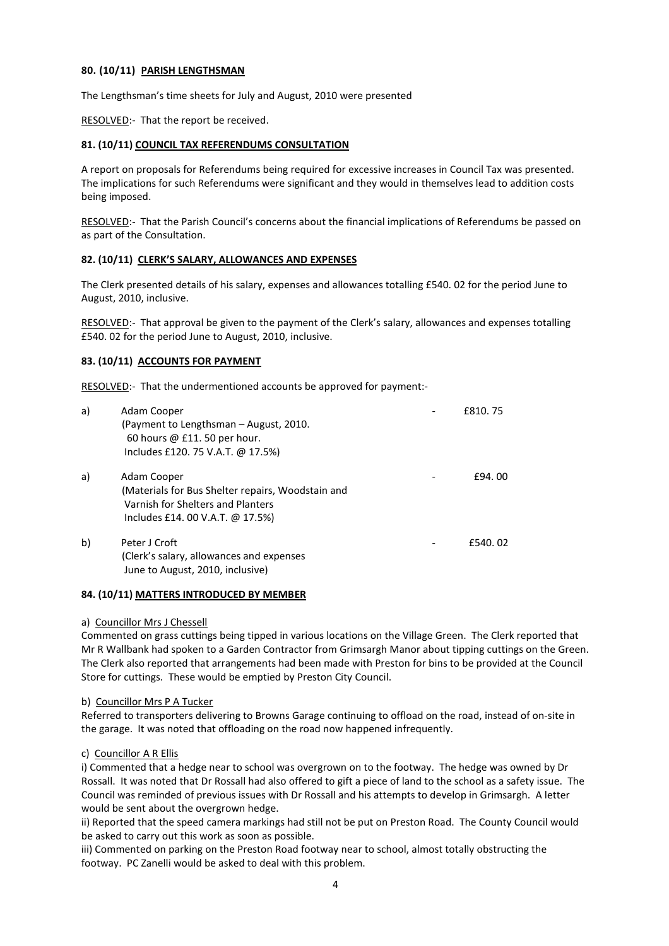# 80. (10/11) PARISH LENGTHSMAN

The Lengthsman's time sheets for July and August, 2010 were presented

RESOLVED:- That the report be received.

# 81. (10/11) COUNCIL TAX REFERENDUMS CONSULTATION

A report on proposals for Referendums being required for excessive increases in Council Tax was presented. The implications for such Referendums were significant and they would in themselves lead to addition costs being imposed.

RESOLVED:- That the Parish Council's concerns about the financial implications of Referendums be passed on as part of the Consultation.

# 82. (10/11) CLERK'S SALARY, ALLOWANCES AND EXPENSES

The Clerk presented details of his salary, expenses and allowances totalling £540. 02 for the period June to August, 2010, inclusive.

RESOLVED:- That approval be given to the payment of the Clerk's salary, allowances and expenses totalling £540. 02 for the period June to August, 2010, inclusive.

# 83. (10/11) ACCOUNTS FOR PAYMENT

RESOLVED:- That the undermentioned accounts be approved for payment:-

| a) | Adam Cooper                                       | £810.75  |
|----|---------------------------------------------------|----------|
|    | (Payment to Lengthsman – August, 2010.            |          |
|    | 60 hours @ £11. 50 per hour.                      |          |
|    | Includes £120. 75 V.A.T. @ 17.5%)                 |          |
| a) | Adam Cooper                                       | £94.00   |
|    | (Materials for Bus Shelter repairs, Woodstain and |          |
|    | Varnish for Shelters and Planters                 |          |
|    | Includes £14.00 V.A.T. @ 17.5%)                   |          |
| b) | Peter J Croft                                     | £540, 02 |
|    | (Clerk's salary, allowances and expenses          |          |
|    | June to August, 2010, inclusive)                  |          |

# 84. (10/11) MATTERS INTRODUCED BY MEMBER

# a) Councillor Mrs J Chessell

Commented on grass cuttings being tipped in various locations on the Village Green. The Clerk reported that Mr R Wallbank had spoken to a Garden Contractor from Grimsargh Manor about tipping cuttings on the Green. The Clerk also reported that arrangements had been made with Preston for bins to be provided at the Council Store for cuttings. These would be emptied by Preston City Council.

# b) Councillor Mrs P A Tucker

Referred to transporters delivering to Browns Garage continuing to offload on the road, instead of on-site in the garage. It was noted that offloading on the road now happened infrequently.

# c) Councillor A R Ellis

i) Commented that a hedge near to school was overgrown on to the footway. The hedge was owned by Dr Rossall. It was noted that Dr Rossall had also offered to gift a piece of land to the school as a safety issue. The Council was reminded of previous issues with Dr Rossall and his attempts to develop in Grimsargh. A letter would be sent about the overgrown hedge.

ii) Reported that the speed camera markings had still not be put on Preston Road. The County Council would be asked to carry out this work as soon as possible.

iii) Commented on parking on the Preston Road footway near to school, almost totally obstructing the footway. PC Zanelli would be asked to deal with this problem.